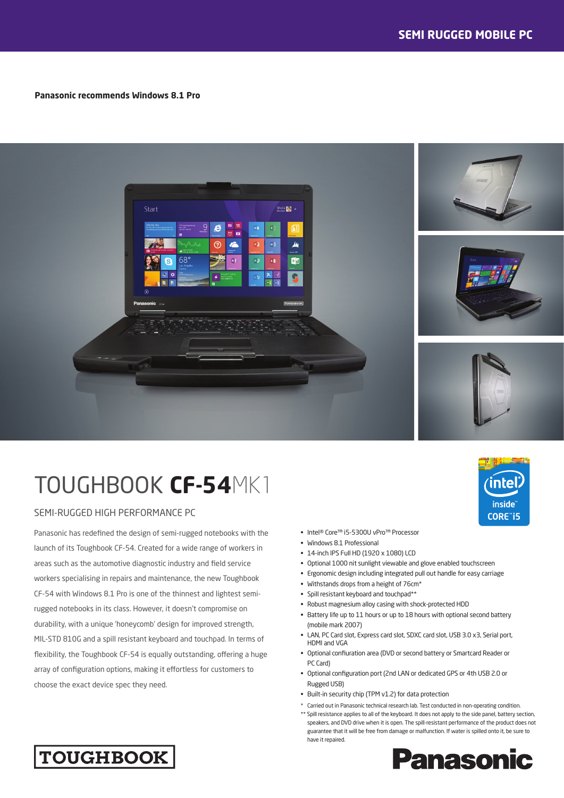#### **Panasonic recommends Windows 8.1 Pro**



# TOUGHBOOK **CF-54**MK1

### SEMI-RUGGED HIGH PERFORMANCE PC

Panasonic has redefined the design of semi-rugged notebooks with the launch of its Toughbook CF-54. Created for a wide range of workers in areas such as the automotive diagnostic industry and field service workers specialising in repairs and maintenance, the new Toughbook CF-54 with Windows 8.1 Pro is one of the thinnest and lightest semirugged notebooks in its class. However, it doesn't compromise on durability, with a unique 'honeycomb' design for improved strength, MIL-STD 810G and a spill resistant keyboard and touchpad. In terms of flexibility, the Toughbook CF-54 is equally outstanding, offering a huge array of configuration options, making it effortless for customers to choose the exact device spec they need.

#### • Intel® Core™ i5-5300U vPro™ Processor

- Windows 8.1 Professional
- 14-inch IPS Full HD (1920 x 1080) LCD
- Optional 1000 nit sunlight viewable and glove enabled touchscreen
- Ergonomic design including integrated pull out handle for easy carriage
- Withstands drops from a height of 76cm\*
- Spill resistant keyboard and touchpad\*\*
- Robust magnesium alloy casing with shock-protected HDD
- Battery life up to 11 hours or up to 18 hours with optional second battery (mobile mark 2007)
- LAN, PC Card slot, Express card slot, SDXC card slot, USB 3.0 x3, Serial port, HDMI and VGA
- Optional confiuration area (DVD or second battery or Smartcard Reader or PC Card)
- Optional configuration port (2nd LAN or dedicated GPS or 4th USB 2.0 or Rugged USB)
- Built-in security chip (TPM v1.2) for data protection
- \* Carried out in Panasonic technical research lab. Test conducted in non-operating condition. \*\* Spill resistance applies to all of the keyboard. It does not apply to the side panel, battery section, speakers, and DVD drive when it is open. The spill-resistant performance of the product does not guarantee that it will be free from damage or malfunction. If water is spilled onto it, be sure to have it repaired.



inte

inside CORE"i5

## **TOUGHBOOK**